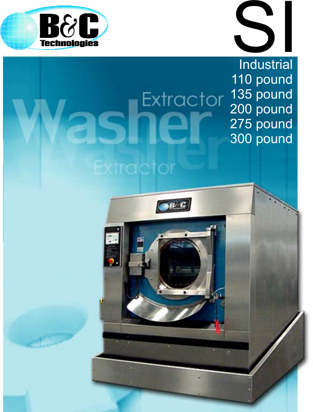

# SI **Industrial** 110 pound 135 pound 200 pound 275 pound 300 pound

Extractor

Extractor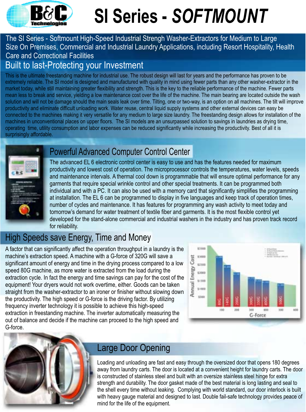

# **SI Series -** *SOFTMOUNT*

#### The SI Series - Softmount High-Speed Industrial Strengh Washer-Extractors for Medium to Large Size On Premises, Commercial and Industrial Laundry Applications, including Resort Hospitality, Health Care and Correctional Facilities Built to last-Protecting your Investment

This is the ultimate freestanding machine for industrial use. The robust design will last for years and the performance has proven to be extremely reliable. The SI model is designed and manufactured with quality in mind using fewer parts than any other washer-extractor in the market today, while still maintaining greater flexibility and strength. This is the key to the reliable performance of the machine. Fewer parts mean less to break and service, yielding a low maintenance cost over the life of the machine. The main bearing are located outside the wash solution and will not be damage should the main seals leak over time. Tilting, one or two-way, is an option on all machines. The tilt will improve productivity and eliminate difficult unloading work. Water reuse, central liquid supply systems and other external devices can easy be connected to the machines making it very versatile for any medium to large size laundry. The freestanding design allows for installation of the machines in unconventional places on upper floors. The SI models are an unsurpassed solution to savings in laundries as drying time, operating time, utility consumption and labor expenses can be reduced significantly while increasing the productivity. Best of all it is surprisingly affordable.



#### Powerful Advanced Computer Control Center

The advanced EL 6 electronic control center is easy to use and has the features needed for maximum productivity and lowest cost of operation. The microprocessor controls the temperatures, water levels, speeds and maintenance intervals. A thermal cool down is programmable that will ensure optimal performance for any garments that require special wrinkle control and other special treatments. It can be programmed both individual and with a PC. It can also be used with a memory card that significantly simplifies the programming at installation. The EL 6 can be programmed to display in five languages and keep track of operation times, number of cycles and maintenance. It has features for programming any wash activity to meet today and tomorrow's demand for water treatment of textile fiber and garments. It is the most flexible control yet developed for the stand-alone commercial and industrial washers in the industry and has proven track record for reliability.

## High Speeds save Energy, Time and Money

A factor that can significantly affect the operation throughput in a laundry is the machine's extraction speed. A machine with a G-force of 320G will save a significant amount of energy and time in the drying process compared to a low speed 80G machine, as more water is extracted from the load during the extraction cycle. In fact the energy and time savings can pay for the cost of the equipment! Your dryers would not work overtime, either. Goods can be taken straight from the washer-extractor to an ironer or finisher without slowing down the productivity. The high speed or G-force is the driving factor. By utilizing frequency inverter technology it is possible to achieve this high-speed extraction in freestanding machine. The inverter automatically measuring the out of balance and decide if the machine can proceed to the high speed and G-force.





# Large Door Opening

Loading and unloading are fast and easy through the oversized door that opens 180 degrees away from laundry carts. The door is located at a convenient height for laundry carts. The door is constructed of stainless steel and built with an oversize stainless steel hinge for extra strength and durability. The door gasket made of the best material is long lasting and seal to the shell every time without leaking. Complying with world standard, our door interlock is built with heavy gauge material and designed to last. Double fail-safe technology provides peace of mind for the life of the equipment.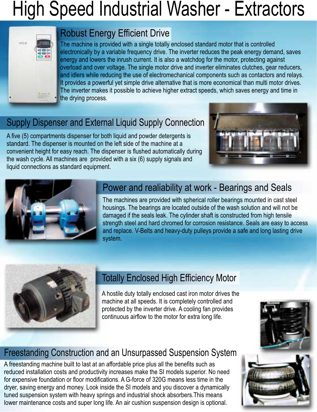# High Speed Industrial Washer - Extractors



## Robust Energy Efficient Drive

The machine is provided with a single totally enclosed standard motor that is controlled electronically by a variable frequency drive. The inverter reduces the peak energy demand, saves energy and lowers the inrush current. It is also a watchdog for the motor, protecting against overload and over voltage. The single motor drive and inverter eliminates clutches, gear reducers, and idlers while reducing the use of electromechanical components such as contactors and relays. It provides a powerful yet simple drive alternative that is more economical than multi motor drives. The inverter makes it possible to achieve higher extract speeds, which saves energy and time in the drying process.

# Supply Dispenser and External Liquid Supply Connection

A five (5) compartments dispenser for both liquid and powder detergents is standard. The dispenser is mounted on the left side of the machine at a convenient height for easy reach. The dispenser is flushed automatically during the wash cycle. All machines are provided with a six (6) supply signals and liquid connections as standard equipment.





#### Power and realiability at work - Bearings and Seals

The machines are provided with spherical roller bearings mounted in cast steel housings. The bearings are located outside of the wash solution and will not be damaged if the seals leak. The cylinder shaft is constructed from high tensile strength steel and hard chromed for corrosion resistance. Seals are easy to access and replace. V-Belts and heavy-duty pulleys provide a safe and long lasting drive system.



# Totally Enclosed High Efficiency Motor

A hostile duty totally enclosed cast iron motor drives the machine at all speeds. It is completely controlled and protected by the inverter drive. A cooling fan provides continuous airflow to the motor for extra long life.

# Freestanding Construction and an Unsurpassed Suspension System

A freestanding machine built to last at an affordable price plus all the benefits such as reduced installation costs and productivity increases make the SI models superior. No need for expensive foundation or floor modifications. A G-force of 320G means less time in the dryer, saving energy and money. Look inside the SI models and you discover a dynamically tuned suspension system with heavy springs and industrial shock absorbers.This means lower maintenance costs and super long life. An air cushion suspension design is optional.